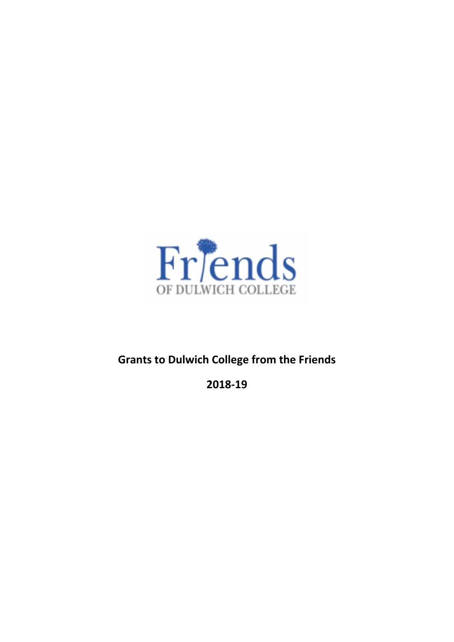

# **Grants to Dulwich College from the Friends**

**2018‐19**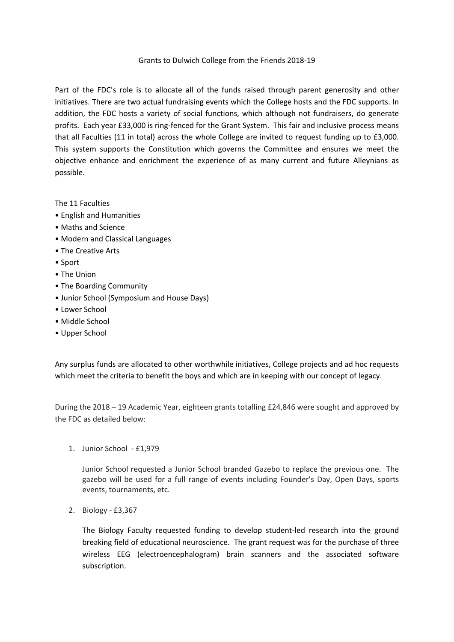#### Grants to Dulwich College from the Friends 2018‐19

Part of the FDC's role is to allocate all of the funds raised through parent generosity and other initiatives. There are two actual fundraising events which the College hosts and the FDC supports. In addition, the FDC hosts a variety of social functions, which although not fundraisers, do generate profits. Each year £33,000 is ring‐fenced for the Grant System. This fair and inclusive process means that all Faculties (11 in total) across the whole College are invited to request funding up to £3,000. This system supports the Constitution which governs the Committee and ensures we meet the objective enhance and enrichment the experience of as many current and future Alleynians as possible.

The 11 Faculties

- English and Humanities
- Maths and Science
- Modern and Classical Languages
- The Creative Arts
- Sport
- The Union
- The Boarding Community
- Junior School (Symposium and House Days)
- Lower School
- Middle School
- Upper School

Any surplus funds are allocated to other worthwhile initiatives, College projects and ad hoc requests which meet the criteria to benefit the boys and which are in keeping with our concept of legacy.

During the 2018 – 19 Academic Year, eighteen grants totalling £24,846 were sought and approved by the FDC as detailed below:

1. Junior School ‐ £1,979

Junior School requested a Junior School branded Gazebo to replace the previous one. The gazebo will be used for a full range of events including Founder's Day, Open Days, sports events, tournaments, etc.

2. Biology ‐ £3,367

The Biology Faculty requested funding to develop student‐led research into the ground breaking field of educational neuroscience. The grant request was for the purchase of three wireless EEG (electroencephalogram) brain scanners and the associated software subscription.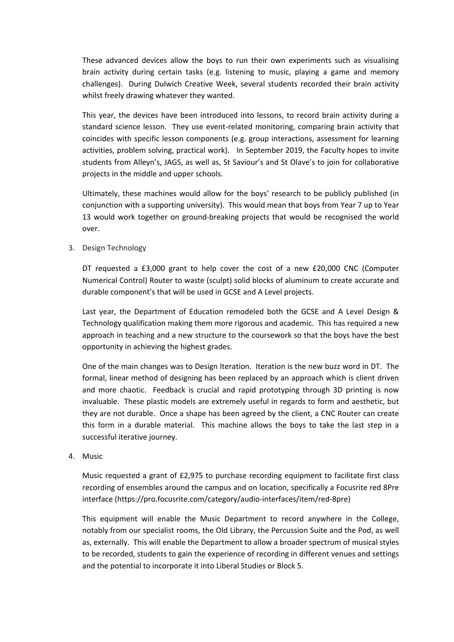These advanced devices allow the boys to run their own experiments such as visualising brain activity during certain tasks (e.g. listening to music, playing a game and memory challenges). During Dulwich Creative Week, several students recorded their brain activity whilst freely drawing whatever they wanted.

This year, the devices have been introduced into lessons, to record brain activity during a standard science lesson. They use event-related monitoring, comparing brain activity that coincides with specific lesson components (e.g. group interactions, assessment for learning activities, problem solving, practical work). In September 2019, the Faculty hopes to invite students from Alleyn's, JAGS, as well as, St Saviour's and St Olave's to join for collaborative projects in the middle and upper schools.

Ultimately, these machines would allow for the boys' research to be publicly published (in conjunction with a supporting university). This would mean that boys from Year 7 up to Year 13 would work together on ground‐breaking projects that would be recognised the world over.

3. Design Technology

DT requested a £3,000 grant to help cover the cost of a new £20,000 CNC (Computer Numerical Control) Router to waste (sculpt) solid blocks of aluminum to create accurate and durable component's that will be used in GCSE and A Level projects.

Last year, the Department of Education remodeled both the GCSE and A Level Design & Technology qualification making them more rigorous and academic. This has required a new approach in teaching and a new structure to the coursework so that the boys have the best opportunity in achieving the highest grades.

One of the main changes was to Design Iteration. Iteration is the new buzz word in DT. The formal, linear method of designing has been replaced by an approach which is client driven and more chaotic. Feedback is crucial and rapid prototyping through 3D printing is now invaluable. These plastic models are extremely useful in regards to form and aesthetic, but they are not durable. Once a shape has been agreed by the client, a CNC Router can create this form in a durable material. This machine allows the boys to take the last step in a successful iterative journey.

4. Music

Music requested a grant of £2,975 to purchase recording equipment to facilitate first class recording of ensembles around the campus and on location, specifically a Focusrite red 8Pre interface (https://pro.focusrite.com/category/audio‐interfaces/item/red‐8pre)

This equipment will enable the Music Department to record anywhere in the College, notably from our specialist rooms, the Old Library, the Percussion Suite and the Pod, as well as, externally. This will enable the Department to allow a broader spectrum of musical styles to be recorded, students to gain the experience of recording in different venues and settings and the potential to incorporate it into Liberal Studies or Block 5.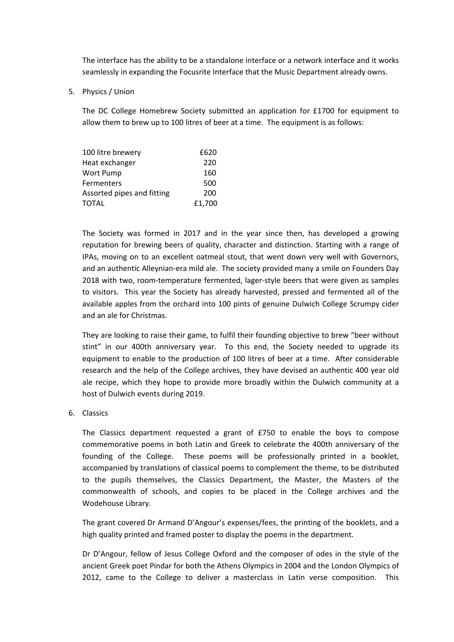The interface has the ability to be a standalone interface or a network interface and it works seamlessly in expanding the Focusrite Interface that the Music Department already owns.

5. Physics / Union

The DC College Homebrew Society submitted an application for £1700 for equipment to allow them to brew up to 100 litres of beer at a time. The equipment is as follows:

| 100 litre brewery          | £620   |
|----------------------------|--------|
| Heat exchanger             | 220    |
| Wort Pump                  | 160    |
| <b>Fermenters</b>          | 500    |
| Assorted pipes and fitting | 200    |
| <b>TOTAL</b>               | £1,700 |

The Society was formed in 2017 and in the year since then, has developed a growing reputation for brewing beers of quality, character and distinction. Starting with a range of IPAs, moving on to an excellent oatmeal stout, that went down very well with Governors, and an authentic Alleynian‐era mild ale. The society provided many a smile on Founders Day 2018 with two, room-temperature fermented, lager-style beers that were given as samples to visitors. This year the Society has already harvested, pressed and fermented all of the available apples from the orchard into 100 pints of genuine Dulwich College Scrumpy cider and an ale for Christmas.

They are looking to raise their game, to fulfil their founding objective to brew "beer without stint" in our 400th anniversary year. To this end, the Society needed to upgrade its equipment to enable to the production of 100 litres of beer at a time. After considerable research and the help of the College archives, they have devised an authentic 400 year old ale recipe, which they hope to provide more broadly within the Dulwich community at a host of Dulwich events during 2019.

6. Classics

The Classics department requested a grant of £750 to enable the boys to compose commemorative poems in both Latin and Greek to celebrate the 400th anniversary of the founding of the College. These poems will be professionally printed in a booklet, accompanied by translations of classical poems to complement the theme, to be distributed to the pupils themselves, the Classics Department, the Master, the Masters of the commonwealth of schools, and copies to be placed in the College archives and the Wodehouse Library.

The grant covered Dr Armand D'Angour's expenses/fees, the printing of the booklets, and a high quality printed and framed poster to display the poems in the department.

Dr D'Angour, fellow of Jesus College Oxford and the composer of odes in the style of the ancient Greek poet Pindar for both the Athens Olympics in 2004 and the London Olympics of 2012, came to the College to deliver a masterclass in Latin verse composition. This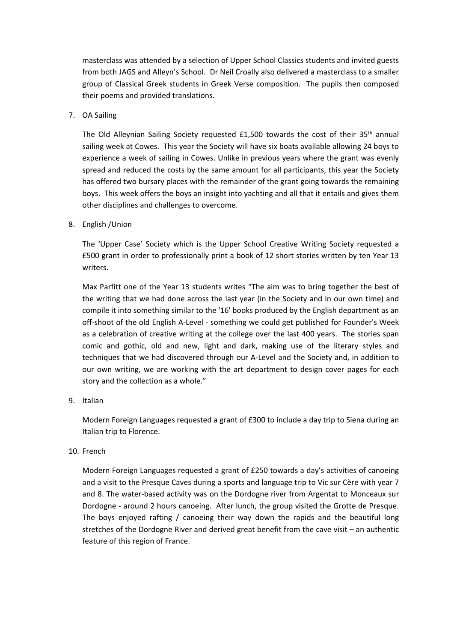masterclass was attended by a selection of Upper School Classics students and invited guests from both JAGS and Alleyn's School. Dr Neil Croally also delivered a masterclass to a smaller group of Classical Greek students in Greek Verse composition. The pupils then composed their poems and provided translations.

## 7. OA Sailing

The Old Alleynian Sailing Society requested  $£1,500$  towards the cost of their  $35<sup>th</sup>$  annual sailing week at Cowes. This year the Society will have six boats available allowing 24 boys to experience a week of sailing in Cowes. Unlike in previous years where the grant was evenly spread and reduced the costs by the same amount for all participants, this year the Society has offered two bursary places with the remainder of the grant going towards the remaining boys. This week offers the boys an insight into yachting and all that it entails and gives them other disciplines and challenges to overcome.

## 8. English /Union

The 'Upper Case' Society which is the Upper School Creative Writing Society requested a £500 grant in order to professionally print a book of 12 short stories written by ten Year 13 writers.

Max Parfitt one of the Year 13 students writes "The aim was to bring together the best of the writing that we had done across the last year (in the Society and in our own time) and compile it into something similar to the '16' books produced by the English department as an off-shoot of the old English A-Level - something we could get published for Founder's Week as a celebration of creative writing at the college over the last 400 years. The stories span comic and gothic, old and new, light and dark, making use of the literary styles and techniques that we had discovered through our A‐Level and the Society and, in addition to our own writing, we are working with the art department to design cover pages for each story and the collection as a whole."

# 9. Italian

Modern Foreign Languages requested a grant of £300 to include a day trip to Siena during an Italian trip to Florence.

#### 10. French

Modern Foreign Languages requested a grant of £250 towards a day's activities of canoeing and a visit to the Presque Caves during a sports and language trip to Vic sur Cère with year 7 and 8. The water‐based activity was on the Dordogne river from Argentat to Monceaux sur Dordogne ‐ around 2 hours canoeing. After lunch, the group visited the Grotte de Presque. The boys enjoyed rafting / canoeing their way down the rapids and the beautiful long stretches of the Dordogne River and derived great benefit from the cave visit – an authentic feature of this region of France.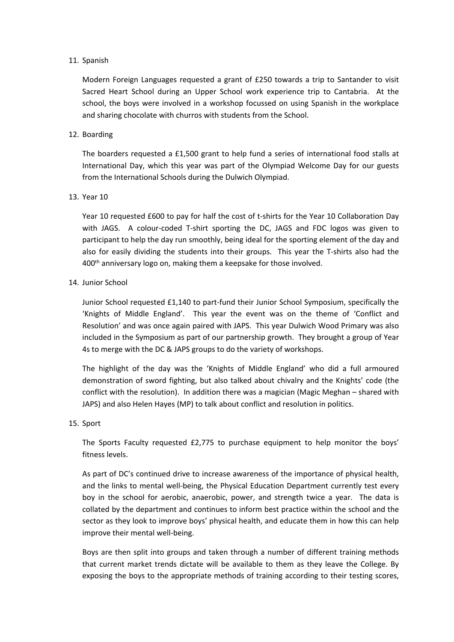#### 11. Spanish

Modern Foreign Languages requested a grant of £250 towards a trip to Santander to visit Sacred Heart School during an Upper School work experience trip to Cantabria. At the school, the boys were involved in a workshop focussed on using Spanish in the workplace and sharing chocolate with churros with students from the School.

## 12. Boarding

The boarders requested a £1,500 grant to help fund a series of international food stalls at International Day, which this year was part of the Olympiad Welcome Day for our guests from the International Schools during the Dulwich Olympiad.

## 13. Year 10

Year 10 requested £600 to pay for half the cost of t-shirts for the Year 10 Collaboration Day with JAGS. A colour-coded T-shirt sporting the DC, JAGS and FDC logos was given to participant to help the day run smoothly, being ideal for the sporting element of the day and also for easily dividing the students into their groups. This year the T‐shirts also had the 400<sup>th</sup> anniversary logo on, making them a keepsake for those involved.

## 14. Junior School

Junior School requested £1,140 to part‐fund their Junior School Symposium, specifically the 'Knights of Middle England'. This year the event was on the theme of 'Conflict and Resolution' and was once again paired with JAPS. This year Dulwich Wood Primary was also included in the Symposium as part of our partnership growth. They brought a group of Year 4s to merge with the DC & JAPS groups to do the variety of workshops.

The highlight of the day was the 'Knights of Middle England' who did a full armoured demonstration of sword fighting, but also talked about chivalry and the Knights' code (the conflict with the resolution). In addition there was a magician (Magic Meghan – shared with JAPS) and also Helen Hayes (MP) to talk about conflict and resolution in politics.

# 15. Sport

The Sports Faculty requested £2,775 to purchase equipment to help monitor the boys' fitness levels.

As part of DC's continued drive to increase awareness of the importance of physical health, and the links to mental well‐being, the Physical Education Department currently test every boy in the school for aerobic, anaerobic, power, and strength twice a year. The data is collated by the department and continues to inform best practice within the school and the sector as they look to improve boys' physical health, and educate them in how this can help improve their mental well‐being.

Boys are then split into groups and taken through a number of different training methods that current market trends dictate will be available to them as they leave the College. By exposing the boys to the appropriate methods of training according to their testing scores,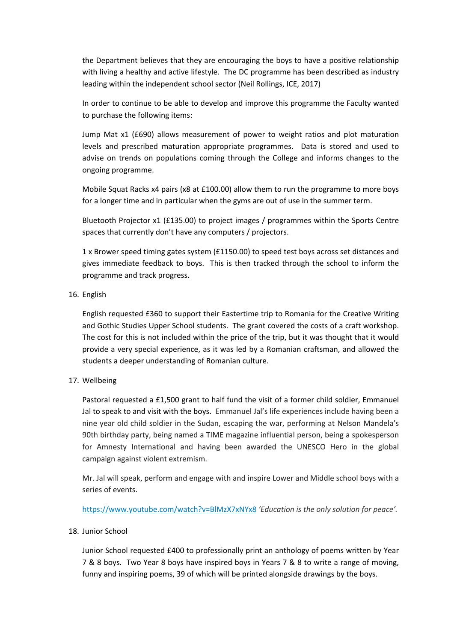the Department believes that they are encouraging the boys to have a positive relationship with living a healthy and active lifestyle. The DC programme has been described as industry leading within the independent school sector (Neil Rollings, ICE, 2017)

In order to continue to be able to develop and improve this programme the Faculty wanted to purchase the following items:

Jump Mat x1 (£690) allows measurement of power to weight ratios and plot maturation levels and prescribed maturation appropriate programmes. Data is stored and used to advise on trends on populations coming through the College and informs changes to the ongoing programme.

Mobile Squat Racks x4 pairs (x8 at £100.00) allow them to run the programme to more boys for a longer time and in particular when the gyms are out of use in the summer term.

Bluetooth Projector x1 (£135.00) to project images / programmes within the Sports Centre spaces that currently don't have any computers / projectors.

1 x Brower speed timing gates system (£1150.00) to speed test boys across set distances and gives immediate feedback to boys. This is then tracked through the school to inform the programme and track progress.

16. English

English requested £360 to support their Eastertime trip to Romania for the Creative Writing and Gothic Studies Upper School students. The grant covered the costs of a craft workshop. The cost for this is not included within the price of the trip, but it was thought that it would provide a very special experience, as it was led by a Romanian craftsman, and allowed the students a deeper understanding of Romanian culture.

17. Wellbeing

Pastoral requested a £1,500 grant to half fund the visit of a former child soldier, Emmanuel Jal to speak to and visit with the boys. Emmanuel Jal's life experiences include having been a nine year old child soldier in the Sudan, escaping the war, performing at Nelson Mandela's 90th birthday party, being named a TIME magazine influential person, being a spokesperson for Amnesty International and having been awarded the UNESCO Hero in the global campaign against violent extremism.

Mr. Jal will speak, perform and engage with and inspire Lower and Middle school boys with a series of events.

https://www.youtube.com/watch?v=BlMzX7xNYx8 *'Education is the only solution for peace'.*

# 18. Junior School

Junior School requested £400 to professionally print an anthology of poems written by Year 7 & 8 boys. Two Year 8 boys have inspired boys in Years 7 & 8 to write a range of moving, funny and inspiring poems, 39 of which will be printed alongside drawings by the boys.